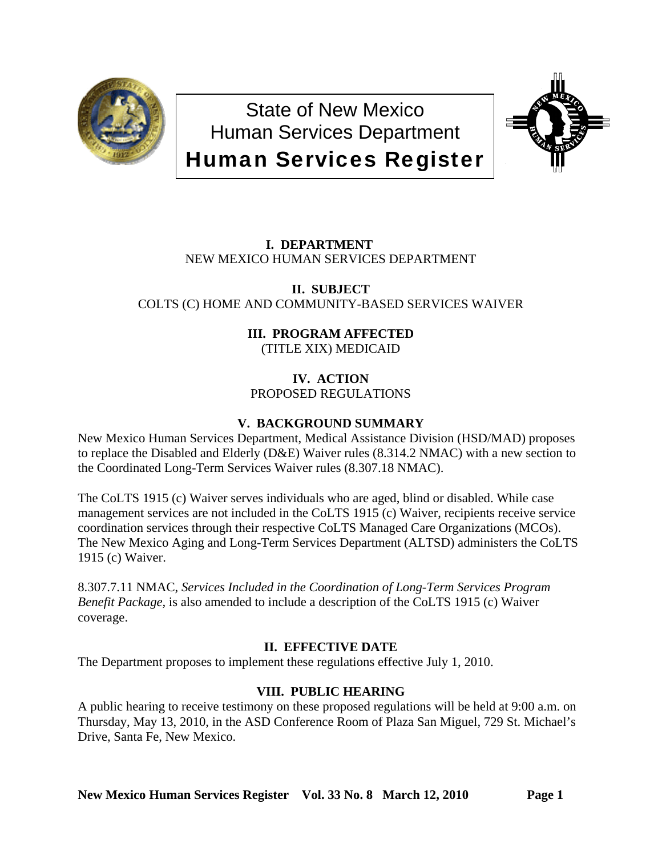

State of New Mexico Human Services Department Human Services Register



# **I. DEPARTMENT** NEW MEXICO HUMAN SERVICES DEPARTMENT

# **II. SUBJECT**  COLTS (C) HOME AND COMMUNITY-BASED SERVICES WAIVER

# **III. PROGRAM AFFECTED**

(TITLE XIX) MEDICAID

# **IV. ACTION** PROPOSED REGULATIONS

# **V. BACKGROUND SUMMARY**

New Mexico Human Services Department, Medical Assistance Division (HSD/MAD) proposes to replace the Disabled and Elderly (D&E) Waiver rules (8.314.2 NMAC) with a new section to the Coordinated Long-Term Services Waiver rules (8.307.18 NMAC).

The CoLTS 1915 (c) Waiver serves individuals who are aged, blind or disabled. While case management services are not included in the CoLTS 1915 (c) Waiver, recipients receive service coordination services through their respective CoLTS Managed Care Organizations (MCOs). The New Mexico Aging and Long-Term Services Department (ALTSD) administers the CoLTS 1915 (c) Waiver.

8.307.7.11 NMAC, *Services Included in the Coordination of Long-Term Services Program Benefit Package,* is also amended to include a description of the CoLTS 1915 (c) Waiver coverage.

# **II. EFFECTIVE DATE**

The Department proposes to implement these regulations effective July 1, 2010.

# **VIII. PUBLIC HEARING**

A public hearing to receive testimony on these proposed regulations will be held at 9:00 a.m. on Thursday, May 13, 2010, in the ASD Conference Room of Plaza San Miguel, 729 St. Michael's Drive, Santa Fe, New Mexico.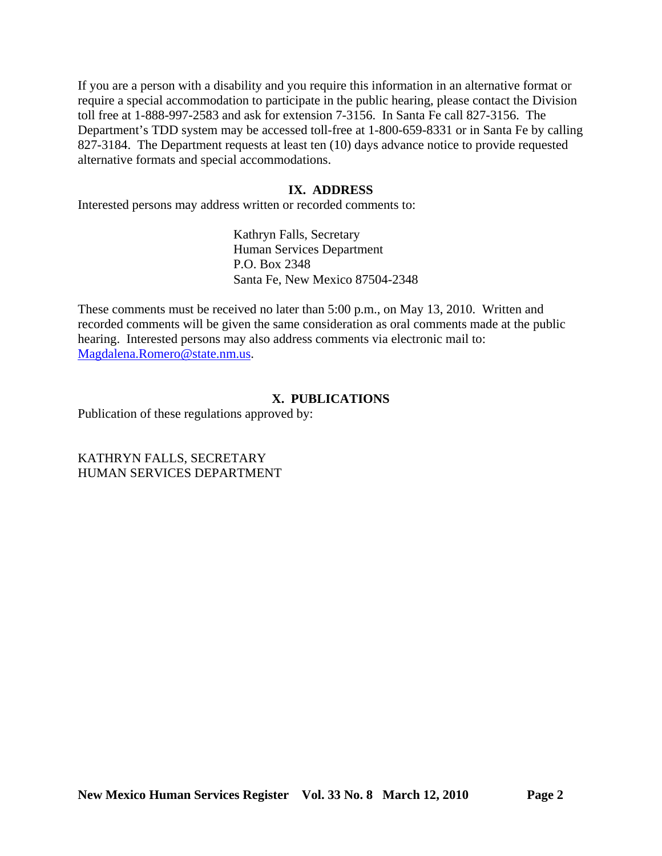If you are a person with a disability and you require this information in an alternative format or require a special accommodation to participate in the public hearing, please contact the Division toll free at 1-888-997-2583 and ask for extension 7-3156. In Santa Fe call 827-3156. The Department's TDD system may be accessed toll-free at 1-800-659-8331 or in Santa Fe by calling 827-3184. The Department requests at least ten (10) days advance notice to provide requested alternative formats and special accommodations.

# **IX. ADDRESS**

Interested persons may address written or recorded comments to:

Kathryn Falls, Secretary Human Services Department P.O. Box 2348 Santa Fe, New Mexico 87504-2348

These comments must be received no later than 5:00 p.m., on May 13, 2010. Written and recorded comments will be given the same consideration as oral comments made at the public hearing. Interested persons may also address comments via electronic mail to: [Magdalena.Romero@state.nm.us.](mailto:Magdalena.Romero@state.nm.us)

# **X. PUBLICATIONS**

Publication of these regulations approved by:

KATHRYN FALLS, SECRETARY HUMAN SERVICES DEPARTMENT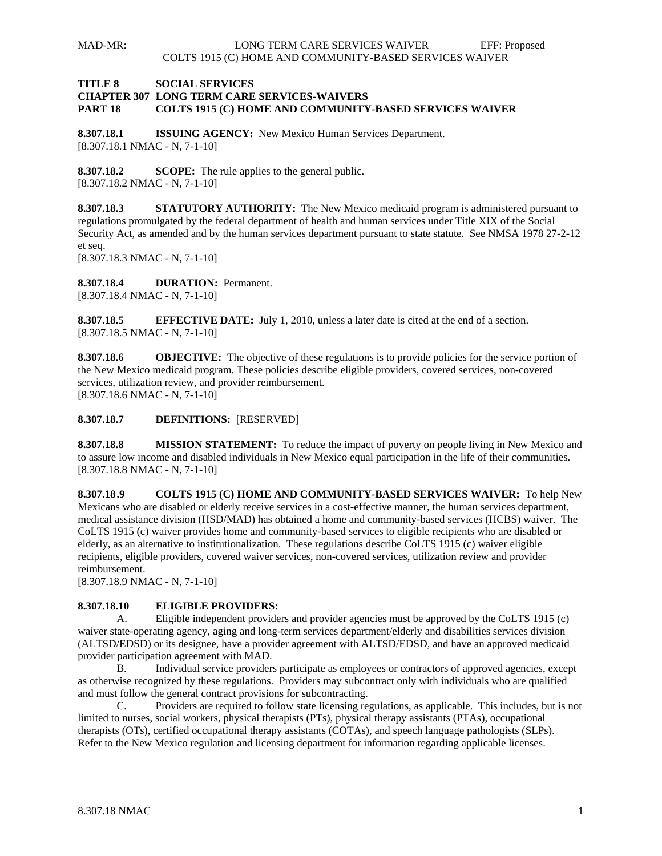#### **TITLE 8 SOCIAL SERVICES CHAPTER 307 LONG TERM CARE SERVICES-WAIVERS PART 18 COLTS 1915 (C) HOME AND COMMUNITY-BASED SERVICES WAIVER**

**8.307.18.1 ISSUING AGENCY:** New Mexico Human Services Department. [8.307.18.1 NMAC - N, 7-1-10]

**8.307.18.2 SCOPE:** The rule applies to the general public. [8.307.18.2 NMAC - N, 7-1-10]

**8.307.18.3 STATUTORY AUTHORITY:** The New Mexico medicaid program is administered pursuant to regulations promulgated by the federal department of health and human services under Title XIX of the Social Security Act, as amended and by the human services department pursuant to state statute. See NMSA 1978 27-2-12 et seq.

[8.307.18.3 NMAC - N, 7-1-10]

**8.307.18.4 DURATION:** Permanent. [8.307.18.4 NMAC - N, 7-1-10]

**8.307.18.5 EFFECTIVE DATE:** July 1, 2010, unless a later date is cited at the end of a section. [8.307.18.5 NMAC - N, 7-1-10]

**8.307.18.6 OBJECTIVE:** The objective of these regulations is to provide policies for the service portion of the New Mexico medicaid program. These policies describe eligible providers, covered services, non-covered services, utilization review, and provider reimbursement. [8.307.18.6 NMAC - N, 7-1-10]

**8.307.18.7 DEFINITIONS:** [RESERVED]

**8.307.18.8 MISSION STATEMENT:** To reduce the impact of poverty on people living in New Mexico and to assure low income and disabled individuals in New Mexico equal participation in the life of their communities. [8.307.18.8 NMAC - N, 7-1-10]

**8.307.18 .9 COLTS 1915 (C) HOME AND COMMUNITY-BASED SERVICES WAIVER:** To help New Mexicans who are disabled or elderly receive services in a cost-effective manner, the human services department, medical assistance division (HSD/MAD) has obtained a home and community-based services (HCBS) waiver. The CoLTS 1915 (c) waiver provides home and community-based services to eligible recipients who are disabled or elderly, as an alternative to institutionalization. These regulations describe CoLTS 1915 (c) waiver eligible recipients, eligible providers, covered waiver services, non-covered services, utilization review and provider reimbursement.

[8.307.18.9 NMAC - N, 7-1-10]

#### **8.307.18.10 ELIGIBLE PROVIDERS:**

 A. Eligible independent providers and provider agencies must be approved by the CoLTS 1915 (c) waiver state-operating agency, aging and long-term services department/elderly and disabilities services division (ALTSD/EDSD) or its designee, have a provider agreement with ALTSD/EDSD, and have an approved medicaid provider participation agreement with MAD.

 B. Individual service providers participate as employees or contractors of approved agencies, except as otherwise recognized by these regulations. Providers may subcontract only with individuals who are qualified and must follow the general contract provisions for subcontracting.

 C. Providers are required to follow state licensing regulations, as applicable. This includes, but is not limited to nurses, social workers, physical therapists (PTs), physical therapy assistants (PTAs), occupational therapists (OTs), certified occupational therapy assistants (COTAs), and speech language pathologists (SLPs). Refer to the New Mexico regulation and licensing department for information regarding applicable licenses.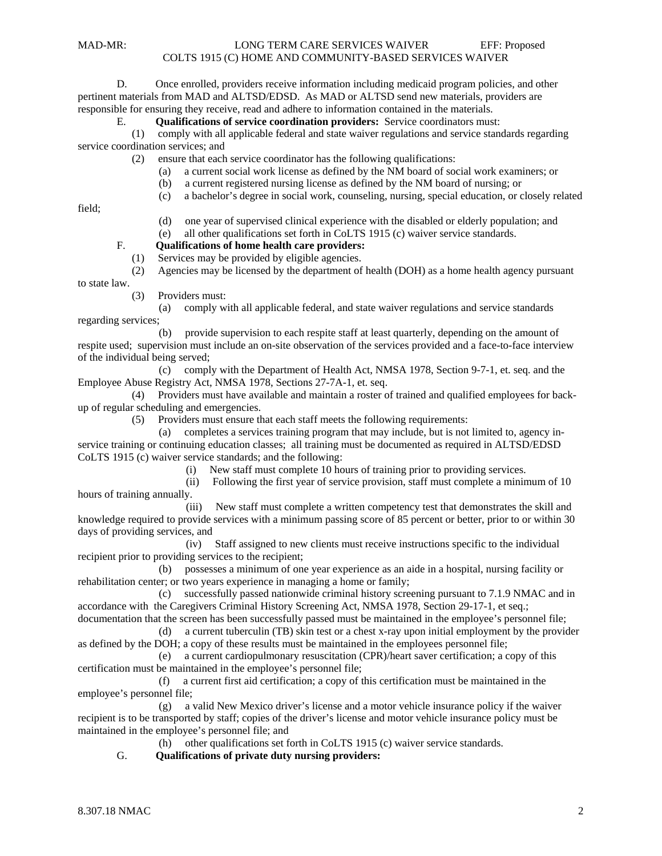D. Once enrolled, providers receive information including medicaid program policies, and other pertinent materials from MAD and ALTSD/EDSD. As MAD or ALTSD send new materials, providers are responsible for ensuring they receive, read and adhere to information contained in the materials.

# E. **Qualifications of service coordination providers:** Service coordinators must:

 (1) comply with all applicable federal and state waiver regulations and service standards regarding service coordination services; and

(2) ensure that each service coordinator has the following qualifications:

- (a) a current social work license as defined by the NM board of social work examiners; or
- (b) a current registered nursing license as defined by the NM board of nursing; or
- (c) a bachelor's degree in social work, counseling, nursing, special education, or closely related

field;

 (d) one year of supervised clinical experience with the disabled or elderly population; and (e) all other qualifications set forth in CoLTS 1915 (c) waiver service standards.

## F. **Qualifications of home health care providers:**

(1) Services may be provided by eligible agencies.

 (2) Agencies may be licensed by the department of health (DOH) as a home health agency pursuant to state law.

(3) Providers must:

 (a) comply with all applicable federal, and state waiver regulations and service standards regarding services;

 (b) provide supervision to each respite staff at least quarterly, depending on the amount of respite used; supervision must include an on-site observation of the services provided and a face-to-face interview of the individual being served;

 (c) comply with the Department of Health Act, NMSA 1978, Section 9-7-1, et. seq. and the Employee Abuse Registry Act, NMSA 1978, Sections 27-7A-1, et. seq.

 (4) Providers must have available and maintain a roster of trained and qualified employees for backup of regular scheduling and emergencies.

(5) Providers must ensure that each staff meets the following requirements:

 (a) completes a services training program that may include, but is not limited to, agency inservice training or continuing education classes; all training must be documented as required in ALTSD/EDSD CoLTS 1915 (c) waiver service standards; and the following:

(i) New staff must complete 10 hours of training prior to providing services.

 (ii) Following the first year of service provision, staff must complete a minimum of 10 hours of training annually.

 (iii) New staff must complete a written competency test that demonstrates the skill and knowledge required to provide services with a minimum passing score of 85 percent or better, prior to or within 30 days of providing services, and

 (iv) Staff assigned to new clients must receive instructions specific to the individual recipient prior to providing services to the recipient;

 (b) possesses a minimum of one year experience as an aide in a hospital, nursing facility or rehabilitation center; or two years experience in managing a home or family;

 (c) successfully passed nationwide criminal history screening pursuant to 7.1.9 NMAC and in accordance with the Caregivers Criminal History Screening Act, NMSA 1978, Section 29-17-1, et seq.;

documentation that the screen has been successfully passed must be maintained in the employee's personnel file; (d) a current tuberculin (TB) skin test or a chest x-ray upon initial employment by the provider as defined by the DOH; a copy of these results must be maintained in the employees personnel file;

 (e) a current cardiopulmonary resuscitation (CPR)/heart saver certification; a copy of this certification must be maintained in the employee's personnel file;

 (f) a current first aid certification; a copy of this certification must be maintained in the employee's personnel file;

 (g) a valid New Mexico driver's license and a motor vehicle insurance policy if the waiver recipient is to be transported by staff; copies of the driver's license and motor vehicle insurance policy must be maintained in the employee's personnel file; and

(h) other qualifications set forth in CoLTS 1915 (c) waiver service standards.

G. **Qualifications of private duty nursing providers:**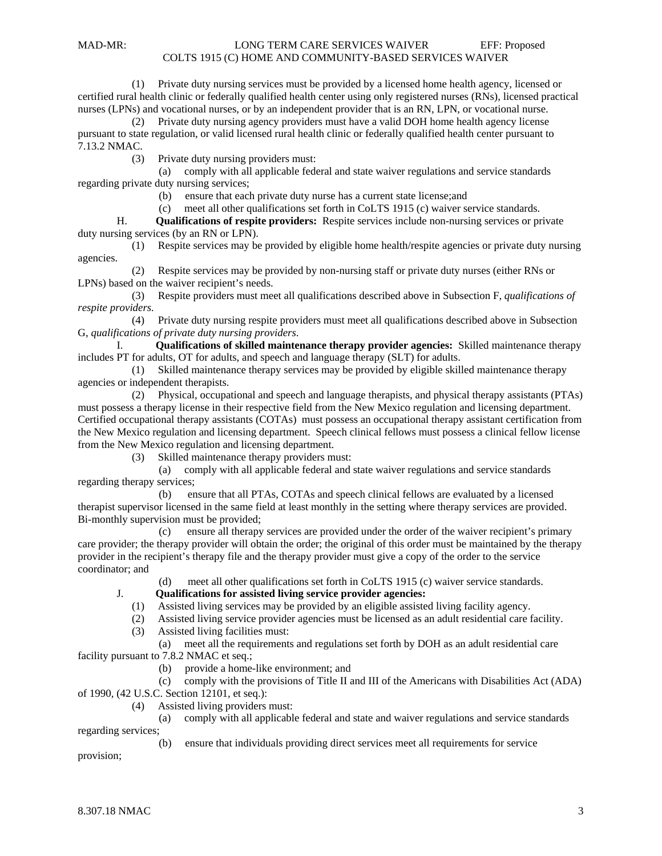(1) Private duty nursing services must be provided by a licensed home health agency, licensed or certified rural health clinic or federally qualified health center using only registered nurses (RNs), licensed practical nurses (LPNs) and vocational nurses, or by an independent provider that is an RN, LPN, or vocational nurse.

 (2) Private duty nursing agency providers must have a valid DOH home health agency license pursuant to state regulation, or valid licensed rural health clinic or federally qualified health center pursuant to 7.13.2 NMAC.

(3) Private duty nursing providers must:

 (a) comply with all applicable federal and state waiver regulations and service standards regarding private duty nursing services;

(b) ensure that each private duty nurse has a current state license;and

 (c) meet all other qualifications set forth in CoLTS 1915 (c) waiver service standards. H. **Qualifications of respite providers:** Respite services include non-nursing services or private

duty nursing services (by an RN or LPN).

 (1) Respite services may be provided by eligible home health/respite agencies or private duty nursing agencies.

 (2) Respite services may be provided by non-nursing staff or private duty nurses (either RNs or LPNs) based on the waiver recipient's needs.

 (3) Respite providers must meet all qualifications described above in Subsection F, *qualifications of respite providers.*

 (4) Private duty nursing respite providers must meet all qualifications described above in Subsection G, *qualifications of private duty nursing providers*.

 I. **Qualifications of skilled maintenance therapy provider agencies:** Skilled maintenance therapy includes PT for adults, OT for adults, and speech and language therapy (SLT) for adults.

 (1) Skilled maintenance therapy services may be provided by eligible skilled maintenance therapy agencies or independent therapists.

 (2) Physical, occupational and speech and language therapists, and physical therapy assistants (PTAs) must possess a therapy license in their respective field from the New Mexico regulation and licensing department. Certified occupational therapy assistants (COTAs) must possess an occupational therapy assistant certification from the New Mexico regulation and licensing department. Speech clinical fellows must possess a clinical fellow license from the New Mexico regulation and licensing department.

(3) Skilled maintenance therapy providers must:

 (a) comply with all applicable federal and state waiver regulations and service standards regarding therapy services;

 (b) ensure that all PTAs, COTAs and speech clinical fellows are evaluated by a licensed therapist supervisor licensed in the same field at least monthly in the setting where therapy services are provided. Bi-monthly supervision must be provided;

 (c) ensure all therapy services are provided under the order of the waiver recipient's primary care provider; the therapy provider will obtain the order; the original of this order must be maintained by the therapy provider in the recipient's therapy file and the therapy provider must give a copy of the order to the service coordinator; and

meet all other qualifications set forth in CoLTS 1915 (c) waiver service standards.

#### J. **Qualifications for assisted living service provider agencies:**

- (1) Assisted living services may be provided by an eligible assisted living facility agency.
- (2) Assisted living service provider agencies must be licensed as an adult residential care facility.
- (3) Assisted living facilities must:

(a) meet all the requirements and regulations set forth by DOH as an adult residential care

facility pursuant to 7.8.2 NMAC et seq.;

(b) provide a home-like environment; and

(c) comply with the provisions of Title II and III of the Americans with Disabilities Act (ADA)

- of 1990, (42 U.S.C. Section 12101, et seq.):
	- (4) Assisted living providers must:
		- (a) comply with all applicable federal and state and waiver regulations and service standards

regarding services;

(b) ensure that individuals providing direct services meet all requirements for service

provision;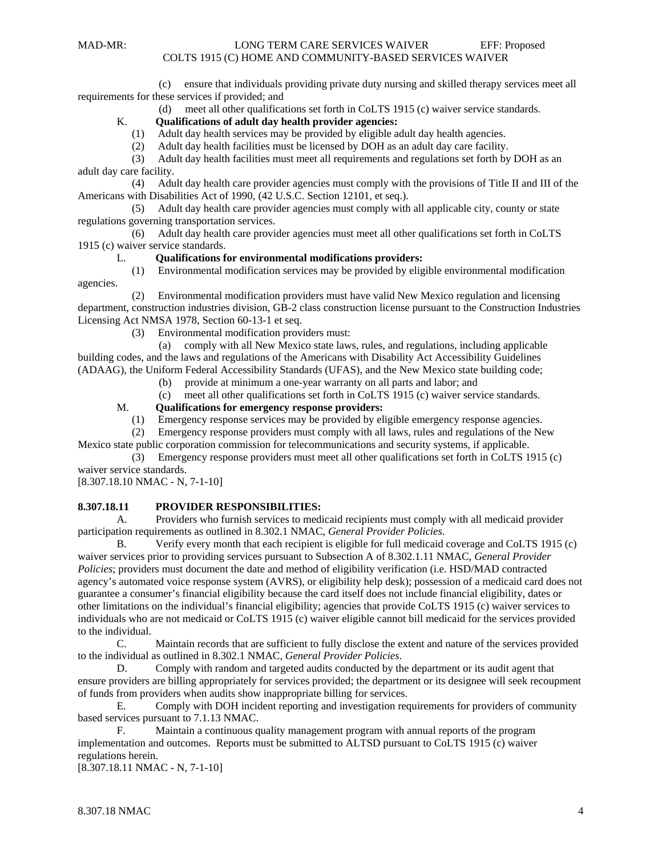agencies.

 (c) ensure that individuals providing private duty nursing and skilled therapy services meet all requirements for these services if provided; and

(d) meet all other qualifications set forth in CoLTS 1915 (c) waiver service standards.<br>K. **Qualifications of adult day health provider agencies:** 

#### K. **Qualifications of adult day health provider agencies:**

- (1) Adult day health services may be provided by eligible adult day health agencies.
- (2) Adult day health facilities must be licensed by DOH as an adult day care facility.

 (3) Adult day health facilities must meet all requirements and regulations set forth by DOH as an adult day care facility.

 (4) Adult day health care provider agencies must comply with the provisions of Title II and III of the Americans with Disabilities Act of 1990, (42 U.S.C. Section 12101, et seq.).

 (5) Adult day health care provider agencies must comply with all applicable city, county or state regulations governing transportation services.

 (6) Adult day health care provider agencies must meet all other qualifications set forth in CoLTS 1915 (c) waiver service standards.

#### L. **Qualifications for environmental modifications providers:**

(1) Environmental modification services may be provided by eligible environmental modification

 (2) Environmental modification providers must have valid New Mexico regulation and licensing department, construction industries division, GB-2 class construction license pursuant to the Construction Industries Licensing Act NMSA 1978, Section 60-13-1 et seq.

(3) Environmental modification providers must:

 (a) comply with all New Mexico state laws, rules, and regulations, including applicable building codes, and the laws and regulations of the Americans with Disability Act Accessibility Guidelines (ADAAG), the Uniform Federal Accessibility Standards (UFAS), and the New Mexico state building code;

- (b) provide at minimum a one-year warranty on all parts and labor; and
- (c) meet all other qualifications set forth in CoLTS 1915 (c) waiver service standards.

#### M. **Qualifications for emergency response providers:**

- (1) Emergency response services may be provided by eligible emergency response agencies.
- (2) Emergency response providers must comply with all laws, rules and regulations of the New

Mexico state public corporation commission for telecommunications and security systems, if applicable.

 (3) Emergency response providers must meet all other qualifications set forth in CoLTS 1915 (c) waiver service standards.

[8.307.18.10 NMAC - N, 7-1-10]

#### **8.307.18.11 PROVIDER RESPONSIBILITIES:**

 A. Providers who furnish services to medicaid recipients must comply with all medicaid provider participation requirements as outlined in 8.302.1 NMAC, *General Provider Policies*.

 B. Verify every month that each recipient is eligible for full medicaid coverage and CoLTS 1915 (c) waiver services prior to providing services pursuant to Subsection A of 8.302.1.11 NMAC, *General Provider Policies*; providers must document the date and method of eligibility verification (i.e. HSD/MAD contracted agency's automated voice response system (AVRS), or eligibility help desk); possession of a medicaid card does not guarantee a consumer's financial eligibility because the card itself does not include financial eligibility, dates or other limitations on the individual's financial eligibility; agencies that provide CoLTS 1915 (c) waiver services to individuals who are not medicaid or CoLTS 1915 (c) waiver eligible cannot bill medicaid for the services provided to the individual.

 C. Maintain records that are sufficient to fully disclose the extent and nature of the services provided to the individual as outlined in 8.302.1 NMAC, *General Provider Policies*.

 D. Comply with random and targeted audits conducted by the department or its audit agent that ensure providers are billing appropriately for services provided; the department or its designee will seek recoupment of funds from providers when audits show inappropriate billing for services.

 E. Comply with DOH incident reporting and investigation requirements for providers of community based services pursuant to 7.1.13 NMAC.

 F. Maintain a continuous quality management program with annual reports of the program implementation and outcomes. Reports must be submitted to ALTSD pursuant to CoLTS 1915 (c) waiver regulations herein.

[8.307.18.11 NMAC - N, 7-1-10]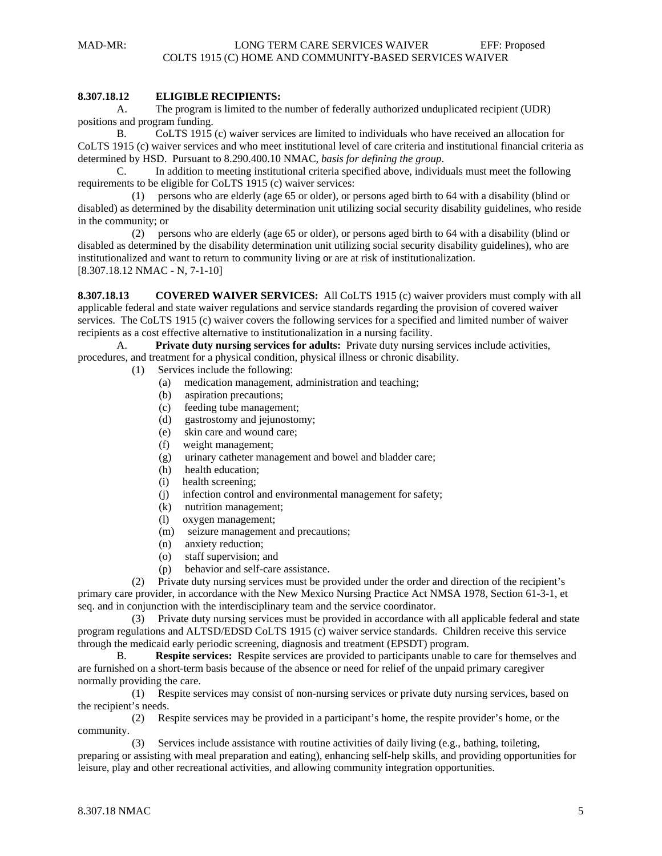#### **8.307.18.12 ELIGIBLE RECIPIENTS:**

 A. The program is limited to the number of federally authorized unduplicated recipient (UDR) positions and program funding.

 B. CoLTS 1915 (c) waiver services are limited to individuals who have received an allocation for CoLTS 1915 (c) waiver services and who meet institutional level of care criteria and institutional financial criteria as determined by HSD. Pursuant to 8.290.400.10 NMAC, *basis for defining the group*.

 C. In addition to meeting institutional criteria specified above, individuals must meet the following requirements to be eligible for CoLTS 1915 (c) waiver services:

 (1) persons who are elderly (age 65 or older), or persons aged birth to 64 with a disability (blind or disabled) as determined by the disability determination unit utilizing social security disability guidelines, who reside in the community; or

 (2) persons who are elderly (age 65 or older), or persons aged birth to 64 with a disability (blind or disabled as determined by the disability determination unit utilizing social security disability guidelines), who are institutionalized and want to return to community living or are at risk of institutionalization. [8.307.18.12 NMAC - N, 7-1-10]

**8.307.18.13 COVERED WAIVER SERVICES:** All CoLTS 1915 (c) waiver providers must comply with all applicable federal and state waiver regulations and service standards regarding the provision of covered waiver services. The CoLTS 1915 (c) waiver covers the following services for a specified and limited number of waiver recipients as a cost effective alternative to institutionalization in a nursing facility.

 A. **Private duty nursing services for adults:** Private duty nursing services include activities, procedures, and treatment for a physical condition, physical illness or chronic disability.

- (1) Services include the following:
	- (a) medication management, administration and teaching;
	- (b) aspiration precautions;
	- (c) feeding tube management;
	- (d) gastrostomy and jejunostomy;
	- (e) skin care and wound care;
	- (f) weight management;
	- (g) urinary catheter management and bowel and bladder care;
	- (h) health education;
	- (i) health screening;
	- (j) infection control and environmental management for safety;
	- (k) nutrition management;
	- (l) oxygen management;
	- (m) seizure management and precautions;
	- (n) anxiety reduction;
	- (o) staff supervision; and
	- (p) behavior and self-care assistance.

 (2) Private duty nursing services must be provided under the order and direction of the recipient's primary care provider, in accordance with the New Mexico Nursing Practice Act NMSA 1978, Section 61-3-1, et seq. and in conjunction with the interdisciplinary team and the service coordinator.

 (3) Private duty nursing services must be provided in accordance with all applicable federal and state program regulations and ALTSD/EDSD CoLTS 1915 (c) waiver service standards. Children receive this service through the medicaid early periodic screening, diagnosis and treatment (EPSDT) program.

 B. **Respite services:** Respite services are provided to participants unable to care for themselves and are furnished on a short-term basis because of the absence or need for relief of the unpaid primary caregiver normally providing the care.

 (1) Respite services may consist of non-nursing services or private duty nursing services, based on the recipient's needs.

 (2) Respite services may be provided in a participant's home, the respite provider's home, or the community.

 (3) Services include assistance with routine activities of daily living (e.g., bathing, toileting, preparing or assisting with meal preparation and eating), enhancing self-help skills, and providing opportunities for leisure, play and other recreational activities, and allowing community integration opportunities.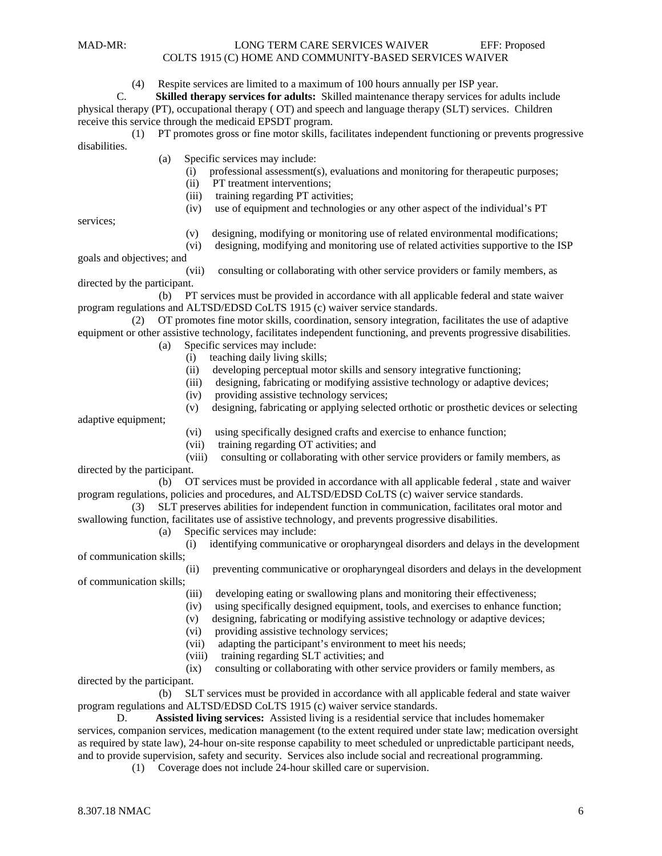(4) Respite services are limited to a maximum of 100 hours annually per ISP year.<br>C. Skilled therapy services for adults: Skilled maintenance therapy services for

**Skilled therapy services for adults:** Skilled maintenance therapy services for adults include

physical therapy (PT), occupational therapy ( OT) and speech and language therapy (SLT) services. Children receive this service through the medicaid EPSDT program.

 (1) PT promotes gross or fine motor skills, facilitates independent functioning or prevents progressive disabilities.

- (a) Specific services may include:
	- (i) professional assessment(s), evaluations and monitoring for therapeutic purposes;
	- (ii) PT treatment interventions;
	- (iii) training regarding PT activities;
	- (iv) use of equipment and technologies or any other aspect of the individual's PT

services;

- (v) designing, modifying or monitoring use of related environmental modifications;
- (vi) designing, modifying and monitoring use of related activities supportive to the ISP

goals and objectives; and

 (vii) consulting or collaborating with other service providers or family members, as directed by the participant.

 (b) PT services must be provided in accordance with all applicable federal and state waiver program regulations and ALTSD/EDSD CoLTS 1915 (c) waiver service standards.

 (2) OT promotes fine motor skills, coordination, sensory integration, facilitates the use of adaptive equipment or other assistive technology, facilitates independent functioning, and prevents progressive disabilities.

- (a) Specific services may include:
	- (i) teaching daily living skills;
	- (ii) developing perceptual motor skills and sensory integrative functioning;
	- (iii) designing, fabricating or modifying assistive technology or adaptive devices;
	- (iv) providing assistive technology services;
	- (v) designing, fabricating or applying selected orthotic or prosthetic devices or selecting

adaptive equipment;

- (vi) using specifically designed crafts and exercise to enhance function;
- (vii) training regarding OT activities; and
- (viii) consulting or collaborating with other service providers or family members, as directed by the participant.

 (b) OT services must be provided in accordance with all applicable federal , state and waiver program regulations, policies and procedures, and ALTSD/EDSD CoLTS (c) waiver service standards.

 (3) SLT preserves abilities for independent function in communication, facilitates oral motor and swallowing function, facilitates use of assistive technology, and prevents progressive disabilities.

- (a) Specific services may include:
	- (i) identifying communicative or oropharyngeal disorders and delays in the development

of communication skills;

(ii) preventing communicative or oropharyngeal disorders and delays in the development

of communication skills;

- (iii) developing eating or swallowing plans and monitoring their effectiveness;
- (iv) using specifically designed equipment, tools, and exercises to enhance function;
- (v) designing, fabricating or modifying assistive technology or adaptive devices;
- (vi) providing assistive technology services;
- (vii) adapting the participant's environment to meet his needs;
- (viii) training regarding SLT activities; and

 (ix) consulting or collaborating with other service providers or family members, as directed by the participant.

 (b) SLT services must be provided in accordance with all applicable federal and state waiver program regulations and ALTSD/EDSD CoLTS 1915 (c) waiver service standards.

 D. **Assisted living services:** Assisted living is a residential service that includes homemaker services, companion services, medication management (to the extent required under state law; medication oversight as required by state law), 24-hour on-site response capability to meet scheduled or unpredictable participant needs, and to provide supervision, safety and security. Services also include social and recreational programming.

(1) Coverage does not include 24-hour skilled care or supervision.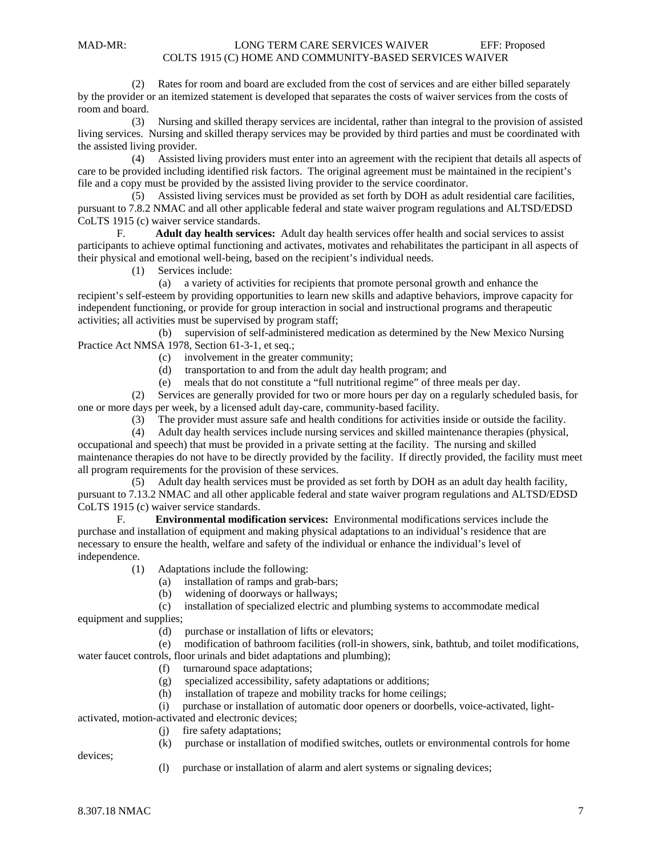(2) Rates for room and board are excluded from the cost of services and are either billed separately by the provider or an itemized statement is developed that separates the costs of waiver services from the costs of room and board.

 (3) Nursing and skilled therapy services are incidental, rather than integral to the provision of assisted living services. Nursing and skilled therapy services may be provided by third parties and must be coordinated with the assisted living provider.

 (4) Assisted living providers must enter into an agreement with the recipient that details all aspects of care to be provided including identified risk factors. The original agreement must be maintained in the recipient's file and a copy must be provided by the assisted living provider to the service coordinator.

 (5) Assisted living services must be provided as set forth by DOH as adult residential care facilities, pursuant to 7.8.2 NMAC and all other applicable federal and state waiver program regulations and ALTSD/EDSD CoLTS 1915 (c) waiver service standards.

 F. **Adult day health services:** Adult day health services offer health and social services to assist participants to achieve optimal functioning and activates, motivates and rehabilitates the participant in all aspects of their physical and emotional well-being, based on the recipient's individual needs.

(1) Services include:

(a) a variety of activities for recipients that promote personal growth and enhance the

recipient's self-esteem by providing opportunities to learn new skills and adaptive behaviors, improve capacity for independent functioning, or provide for group interaction in social and instructional programs and therapeutic activities; all activities must be supervised by program staff;

 (b) supervision of self-administered medication as determined by the New Mexico Nursing Practice Act NMSA 1978, Section 61-3-1, et seq.;

- (c) involvement in the greater community;
- (d) transportation to and from the adult day health program; and
- (e) meals that do not constitute a "full nutritional regime" of three meals per day.

 (2) Services are generally provided for two or more hours per day on a regularly scheduled basis, for one or more days per week, by a licensed adult day-care, community-based facility.

(3) The provider must assure safe and health conditions for activities inside or outside the facility.

 (4) Adult day health services include nursing services and skilled maintenance therapies (physical, occupational and speech) that must be provided in a private setting at the facility. The nursing and skilled maintenance therapies do not have to be directly provided by the facility. If directly provided, the facility must meet all program requirements for the provision of these services.

 (5) Adult day health services must be provided as set forth by DOH as an adult day health facility, pursuant to 7.13.2 NMAC and all other applicable federal and state waiver program regulations and ALTSD/EDSD CoLTS 1915 (c) waiver service standards.

 F. **Environmental modification services:** Environmental modifications services include the purchase and installation of equipment and making physical adaptations to an individual's residence that are necessary to ensure the health, welfare and safety of the individual or enhance the individual's level of independence.

(1) Adaptations include the following:

(a) installation of ramps and grab-bars;

(b) widening of doorways or hallways;

(c) installation of specialized electric and plumbing systems to accommodate medical

equipment and supplies;

(d) purchase or installation of lifts or elevators;

 (e) modification of bathroom facilities (roll-in showers, sink, bathtub, and toilet modifications, water faucet controls, floor urinals and bidet adaptations and plumbing);

(f) turnaround space adaptations;

(g) specialized accessibility, safety adaptations or additions;

(h) installation of trapeze and mobility tracks for home ceilings;

(i) purchase or installation of automatic door openers or doorbells, voice-activated, light-

activated, motion-activated and electronic devices;

- (j) fire safety adaptations;
- (k) purchase or installation of modified switches, outlets or environmental controls for home

devices;

(l) purchase or installation of alarm and alert systems or signaling devices;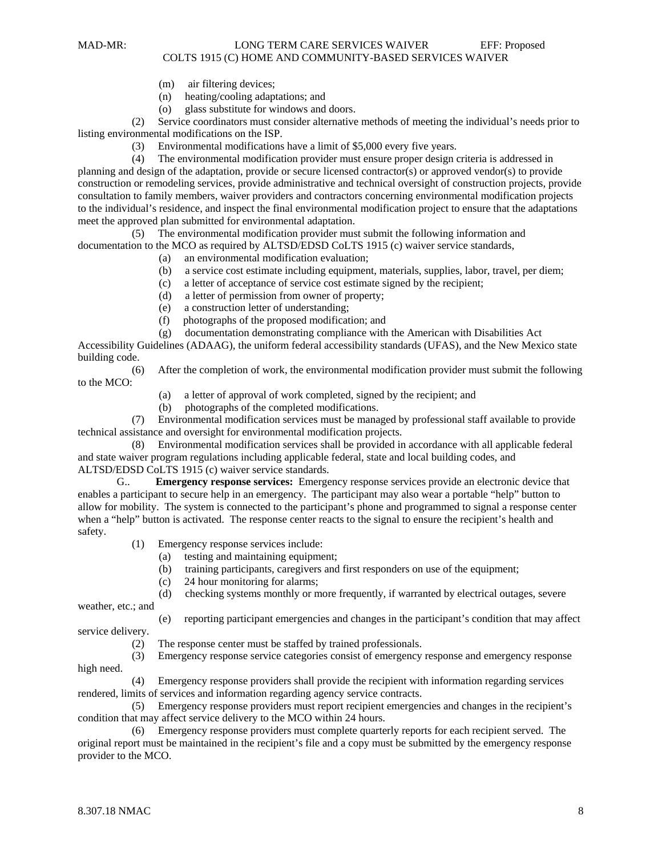- (m) air filtering devices;
- (n) heating/cooling adaptations; and
- (o) glass substitute for windows and doors.

 (2) Service coordinators must consider alternative methods of meeting the individual's needs prior to listing environmental modifications on the ISP.

(3) Environmental modifications have a limit of \$5,000 every five years.

 (4) The environmental modification provider must ensure proper design criteria is addressed in planning and design of the adaptation, provide or secure licensed contractor(s) or approved vendor(s) to provide construction or remodeling services, provide administrative and technical oversight of construction projects, provide consultation to family members, waiver providers and contractors concerning environmental modification projects to the individual's residence, and inspect the final environmental modification project to ensure that the adaptations meet the approved plan submitted for environmental adaptation.

 (5) The environmental modification provider must submit the following information and documentation to the MCO as required by ALTSD/EDSD CoLTS 1915 (c) waiver service standards,

- (a) an environmental modification evaluation;
- (b) a service cost estimate including equipment, materials, supplies, labor, travel, per diem;
- (c) a letter of acceptance of service cost estimate signed by the recipient;
- (d) a letter of permission from owner of property;
- (e) a construction letter of understanding;
- (f) photographs of the proposed modification; and
- (g) documentation demonstrating compliance with the American with Disabilities Act

Accessibility Guidelines (ADAAG), the uniform federal accessibility standards (UFAS), and the New Mexico state building code.

 (6) After the completion of work, the environmental modification provider must submit the following to the MCO:

- (a) a letter of approval of work completed, signed by the recipient; and
- (b) photographs of the completed modifications.

 (7) Environmental modification services must be managed by professional staff available to provide technical assistance and oversight for environmental modification projects.

 (8) Environmental modification services shall be provided in accordance with all applicable federal and state waiver program regulations including applicable federal, state and local building codes, and ALTSD/EDSD CoLTS 1915 (c) waiver service standards.

 G.. **Emergency response services:** Emergency response services provide an electronic device that enables a participant to secure help in an emergency. The participant may also wear a portable "help" button to allow for mobility. The system is connected to the participant's phone and programmed to signal a response center when a "help" button is activated. The response center reacts to the signal to ensure the recipient's health and safety.

- (1) Emergency response services include:
	- (a) testing and maintaining equipment;
	- (b) training participants, caregivers and first responders on use of the equipment;
	- (c) 24 hour monitoring for alarms;

(d) checking systems monthly or more frequently, if warranted by electrical outages, severe

weather, etc.; and

- (e) reporting participant emergencies and changes in the participant's condition that may affect service delivery.
	- (2) The response center must be staffed by trained professionals.

 (3) Emergency response service categories consist of emergency response and emergency response high need.

 (4) Emergency response providers shall provide the recipient with information regarding services rendered, limits of services and information regarding agency service contracts.

 (5) Emergency response providers must report recipient emergencies and changes in the recipient's condition that may affect service delivery to the MCO within 24 hours.

 (6) Emergency response providers must complete quarterly reports for each recipient served. The original report must be maintained in the recipient's file and a copy must be submitted by the emergency response provider to the MCO.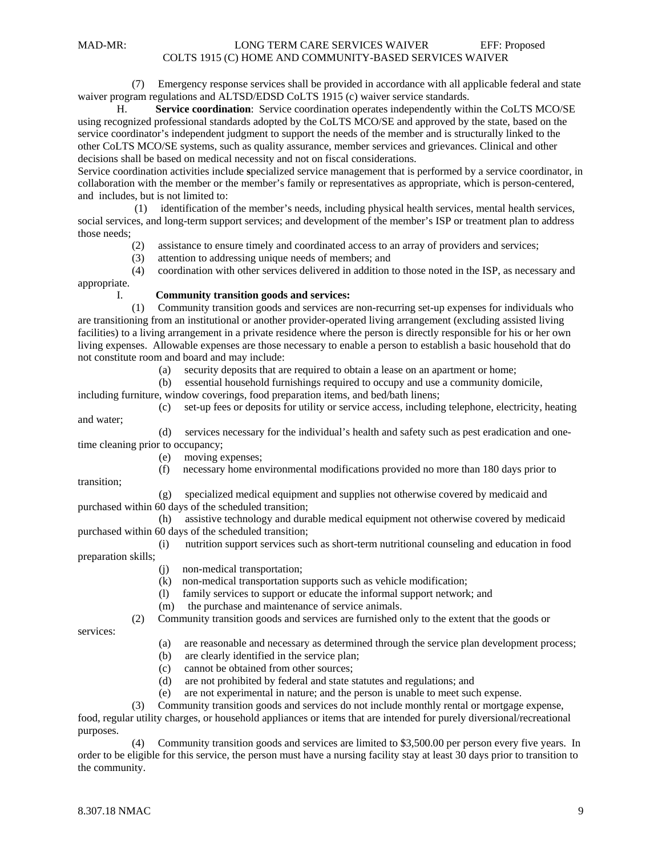(7) Emergency response services shall be provided in accordance with all applicable federal and state waiver program regulations and ALTSD/EDSD CoLTS 1915 (c) waiver service standards.

H. **Service coordination**: Service coordination operates independently within the CoLTS MCO/SE using recognized professional standards adopted by the CoLTS MCO/SE and approved by the state, based on the service coordinator's independent judgment to support the needs of the member and is structurally linked to the other CoLTS MCO/SE systems, such as quality assurance, member services and grievances. Clinical and other decisions shall be based on medical necessity and not on fiscal considerations.

Service coordination activities include **s**pecialized service management that is performed by a service coordinator, in collaboration with the member or the member's family or representatives as appropriate, which is person-centered, and includes, but is not limited to:

 (1) identification of the member's needs, including physical health services, mental health services, social services, and long-term support services; and development of the member's ISP or treatment plan to address those needs;

(2) assistance to ensure timely and coordinated access to an array of providers and services;

(3) attention to addressing unique needs of members; and

(4) coordination with other services delivered in addition to those noted in the ISP, as necessary and

appropriate.

## I. **Community transition goods and services:**

 (1) Community transition goods and services are non-recurring set-up expenses for individuals who are transitioning from an institutional or another provider-operated living arrangement (excluding assisted living facilities) to a living arrangement in a private residence where the person is directly responsible for his or her own living expenses. Allowable expenses are those necessary to enable a person to establish a basic household that do not constitute room and board and may include:

(a) security deposits that are required to obtain a lease on an apartment or home;

(b) essential household furnishings required to occupy and use a community domicile,

including furniture, window coverings, food preparation items, and bed/bath linens;

 (c) set-up fees or deposits for utility or service access, including telephone, electricity, heating and water;

 (d) services necessary for the individual's health and safety such as pest eradication and onetime cleaning prior to occupancy;

(e) moving expenses;

(f) necessary home environmental modifications provided no more than 180 days prior to

transition;

 (g) specialized medical equipment and supplies not otherwise covered by medicaid and purchased within 60 days of the scheduled transition;

 (h) assistive technology and durable medical equipment not otherwise covered by medicaid purchased within 60 days of the scheduled transition;

 (i) nutrition support services such as short-term nutritional counseling and education in food preparation skills;

- (j) non-medical transportation;
- (k) non-medical transportation supports such as vehicle modification;
- (l) family services to support or educate the informal support network; and
- (m) the purchase and maintenance of service animals.

(2) Community transition goods and services are furnished only to the extent that the goods or

services:

- (a) are reasonable and necessary as determined through the service plan development process;
- (b) are clearly identified in the service plan;
- (c) cannot be obtained from other sources;
- (d) are not prohibited by federal and state statutes and regulations; and
- (e) are not experimental in nature; and the person is unable to meet such expense.

 (3) Community transition goods and services do not include monthly rental or mortgage expense, food, regular utility charges, or household appliances or items that are intended for purely diversional/recreational purposes.

 (4) Community transition goods and services are limited to \$3,500.00 per person every five years. In order to be eligible for this service, the person must have a nursing facility stay at least 30 days prior to transition to the community.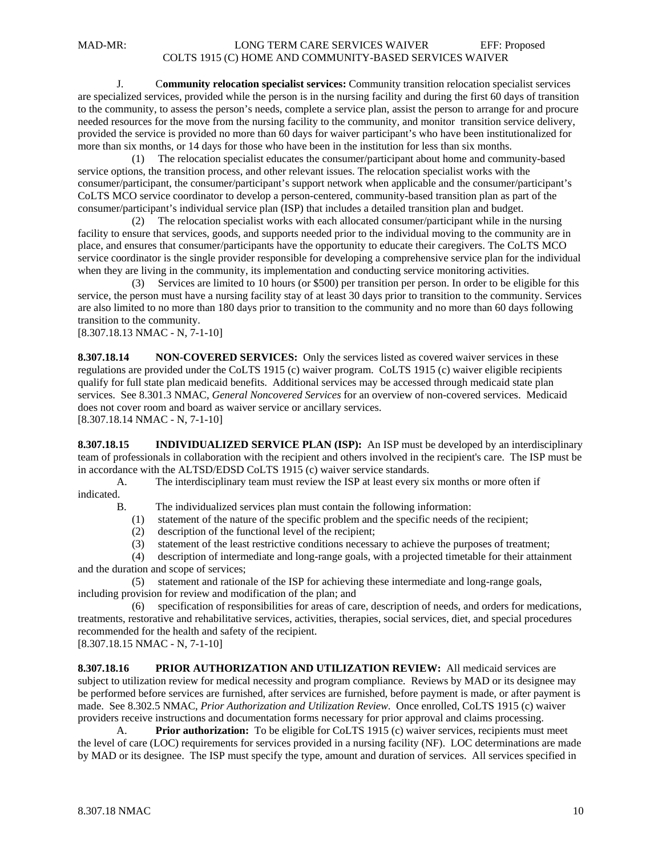J. C**ommunity relocation specialist services:** Community transition relocation specialist services are specialized services, provided while the person is in the nursing facility and during the first 60 days of transition to the community, to assess the person's needs, complete a service plan, assist the person to arrange for and procure needed resources for the move from the nursing facility to the community, and monitor transition service delivery, provided the service is provided no more than 60 days for waiver participant's who have been institutionalized for more than six months, or 14 days for those who have been in the institution for less than six months.

 (1) The relocation specialist educates the consumer/participant about home and community-based service options, the transition process, and other relevant issues. The relocation specialist works with the consumer/participant, the consumer/participant's support network when applicable and the consumer/participant's CoLTS MCO service coordinator to develop a person-centered, community-based transition plan as part of the consumer/participant's individual service plan (ISP) that includes a detailed transition plan and budget.

 (2) The relocation specialist works with each allocated consumer/participant while in the nursing facility to ensure that services, goods, and supports needed prior to the individual moving to the community are in place, and ensures that consumer/participants have the opportunity to educate their caregivers. The CoLTS MCO service coordinator is the single provider responsible for developing a comprehensive service plan for the individual when they are living in the community, its implementation and conducting service monitoring activities.

 (3) Services are limited to 10 hours (or \$500) per transition per person. In order to be eligible for this service, the person must have a nursing facility stay of at least 30 days prior to transition to the community. Services are also limited to no more than 180 days prior to transition to the community and no more than 60 days following transition to the community.

[8.307.18.13 NMAC - N, 7-1-10]

**8.307.18.14 NON-COVERED SERVICES:** Only the services listed as covered waiver services in these regulations are provided under the CoLTS 1915 (c) waiver program. CoLTS 1915 (c) waiver eligible recipients qualify for full state plan medicaid benefits. Additional services may be accessed through medicaid state plan services. See 8.301.3 NMAC, *General Noncovered Services* for an overview of non-covered services. Medicaid does not cover room and board as waiver service or ancillary services. [8.307.18.14 NMAC - N, 7-1-10]

**8.307.18.15 INDIVIDUALIZED SERVICE PLAN (ISP):** An ISP must be developed by an interdisciplinary team of professionals in collaboration with the recipient and others involved in the recipient's care. The ISP must be in accordance with the ALTSD/EDSD CoLTS 1915 (c) waiver service standards.

A. The interdisciplinary team must review the ISP at least every six months or more often if indicated.

B. The individualized services plan must contain the following information:

- (1) statement of the nature of the specific problem and the specific needs of the recipient;
- (2) description of the functional level of the recipient;
- (3) statement of the least restrictive conditions necessary to achieve the purposes of treatment;

 (4) description of intermediate and long-range goals, with a projected timetable for their attainment and the duration and scope of services;

 (5) statement and rationale of the ISP for achieving these intermediate and long-range goals, including provision for review and modification of the plan; and

 (6) specification of responsibilities for areas of care, description of needs, and orders for medications, treatments, restorative and rehabilitative services, activities, therapies, social services, diet, and special procedures recommended for the health and safety of the recipient.

[8.307.18.15 NMAC - N, 7-1-10]

**8.307.18.16 PRIOR AUTHORIZATION AND UTILIZATION REVIEW:** All medicaid services are subject to utilization review for medical necessity and program compliance. Reviews by MAD or its designee may be performed before services are furnished, after services are furnished, before payment is made, or after payment is made. See 8.302.5 NMAC, *Prior Authorization and Utilization Review*. Once enrolled, CoLTS 1915 (c) waiver providers receive instructions and documentation forms necessary for prior approval and claims processing.

 A. **Prior authorization:** To be eligible for CoLTS 1915 (c) waiver services, recipients must meet the level of care (LOC) requirements for services provided in a nursing facility (NF). LOC determinations are made by MAD or its designee. The ISP must specify the type, amount and duration of services. All services specified in